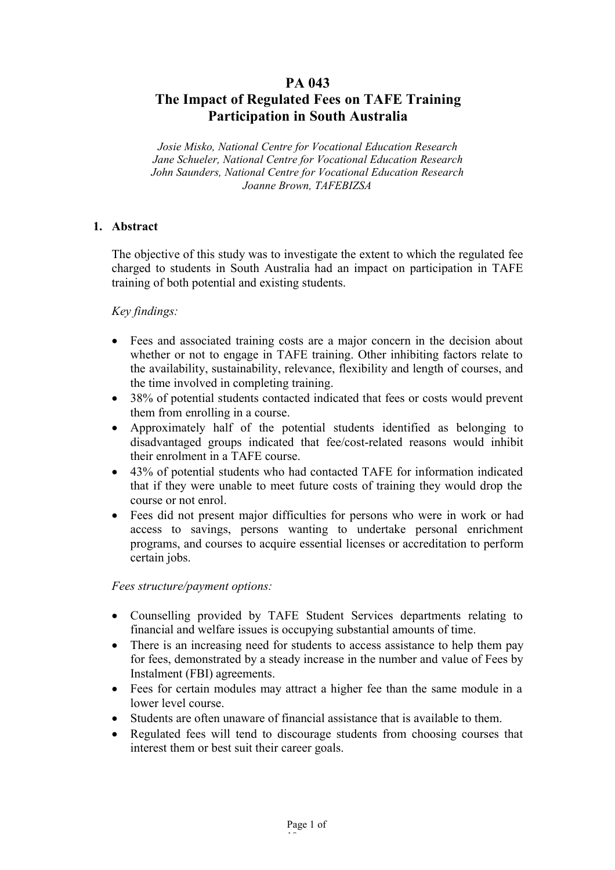# **PA 043**

# **The Impact of Regulated Fees on TAFE Training Participation in South Australia**

*Josie Misko, National Centre for Vocational Education Research Jane Schueler, National Centre for Vocational Education Research John Saunders, National Centre for Vocational Education Research Joanne Brown, TAFEBIZSA*

## **1. Abstract**

The objective of this study was to investigate the extent to which the regulated fee charged to students in South Australia had an impact on participation in TAFE training of both potential and existing students.

#### *Key findings:*

- Fees and associated training costs are a major concern in the decision about whether or not to engage in TAFE training. Other inhibiting factors relate to the availability, sustainability, relevance, flexibility and length of courses, and the time involved in completing training.
- 38% of potential students contacted indicated that fees or costs would prevent them from enrolling in a course.
- Approximately half of the potential students identified as belonging to disadvantaged groups indicated that fee/cost-related reasons would inhibit their enrolment in a TAFE course.
- 43% of potential students who had contacted TAFE for information indicated that if they were unable to meet future costs of training they would drop the course or not enrol.
- Fees did not present major difficulties for persons who were in work or had access to savings, persons wanting to undertake personal enrichment programs, and courses to acquire essential licenses or accreditation to perform certain jobs.

#### *Fees structure/payment options:*

- Counselling provided by TAFE Student Services departments relating to financial and welfare issues is occupying substantial amounts of time.
- There is an increasing need for students to access assistance to help them pay for fees, demonstrated by a steady increase in the number and value of Fees by Instalment (FBI) agreements.
- Fees for certain modules may attract a higher fee than the same module in a lower level course.
- Students are often unaware of financial assistance that is available to them.
- Regulated fees will tend to discourage students from choosing courses that interest them or best suit their career goals.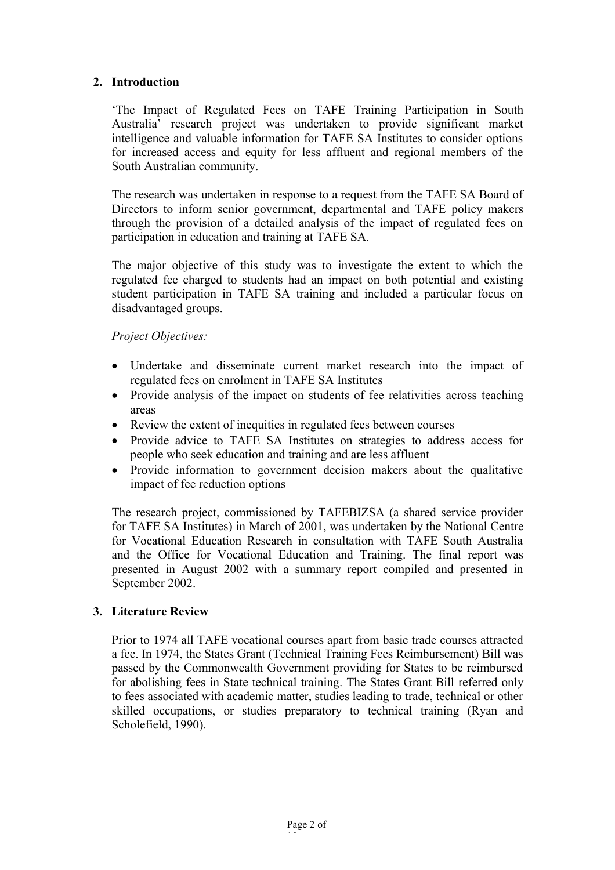# **2. Introduction**

'The Impact of Regulated Fees on TAFE Training Participation in South Australia' research project was undertaken to provide significant market intelligence and valuable information for TAFE SA Institutes to consider options for increased access and equity for less affluent and regional members of the South Australian community.

The research was undertaken in response to a request from the TAFE SA Board of Directors to inform senior government, departmental and TAFE policy makers through the provision of a detailed analysis of the impact of regulated fees on participation in education and training at TAFE SA.

The major objective of this study was to investigate the extent to which the regulated fee charged to students had an impact on both potential and existing student participation in TAFE SA training and included a particular focus on disadvantaged groups.

# *Project Objectives:*

- Undertake and disseminate current market research into the impact of regulated fees on enrolment in TAFE SA Institutes
- Provide analysis of the impact on students of fee relativities across teaching areas
- Review the extent of inequities in regulated fees between courses
- Provide advice to TAFE SA Institutes on strategies to address access for people who seek education and training and are less affluent
- Provide information to government decision makers about the qualitative impact of fee reduction options

The research project, commissioned by TAFEBIZSA (a shared service provider for TAFE SA Institutes) in March of 2001, was undertaken by the National Centre for Vocational Education Research in consultation with TAFE South Australia and the Office for Vocational Education and Training. The final report was presented in August 2002 with a summary report compiled and presented in September 2002.

# **3. Literature Review**

Prior to 1974 all TAFE vocational courses apart from basic trade courses attracted a fee. In 1974, the States Grant (Technical Training Fees Reimbursement) Bill was passed by the Commonwealth Government providing for States to be reimbursed for abolishing fees in State technical training. The States Grant Bill referred only to fees associated with academic matter, studies leading to trade, technical or other skilled occupations, or studies preparatory to technical training (Ryan and Scholefield, 1990).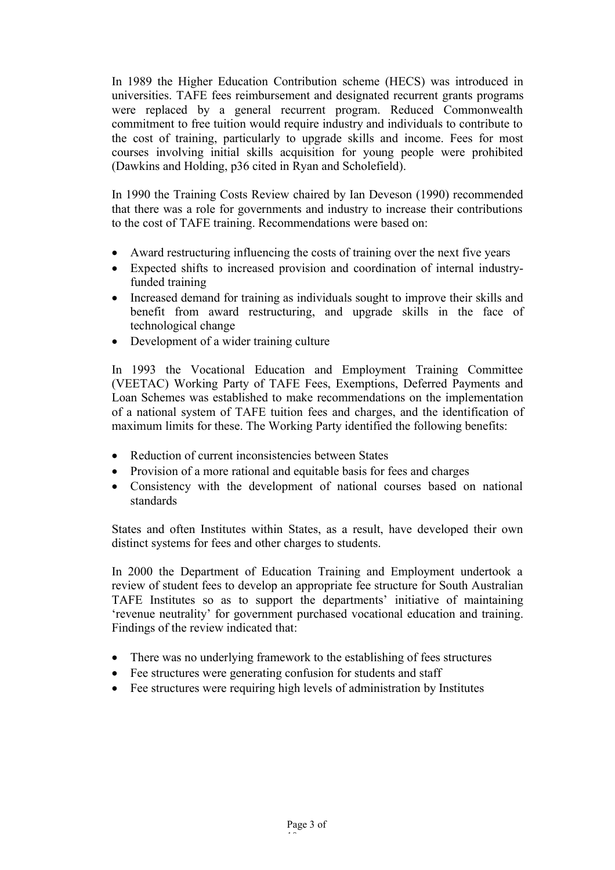In 1989 the Higher Education Contribution scheme (HECS) was introduced in universities. TAFE fees reimbursement and designated recurrent grants programs were replaced by a general recurrent program. Reduced Commonwealth commitment to free tuition would require industry and individuals to contribute to the cost of training, particularly to upgrade skills and income. Fees for most courses involving initial skills acquisition for young people were prohibited (Dawkins and Holding, p36 cited in Ryan and Scholefield).

In 1990 the Training Costs Review chaired by Ian Deveson (1990) recommended that there was a role for governments and industry to increase their contributions to the cost of TAFE training. Recommendations were based on:

- Award restructuring influencing the costs of training over the next five years
- Expected shifts to increased provision and coordination of internal industryfunded training
- Increased demand for training as individuals sought to improve their skills and benefit from award restructuring, and upgrade skills in the face of technological change
- Development of a wider training culture

In 1993 the Vocational Education and Employment Training Committee (VEETAC) Working Party of TAFE Fees, Exemptions, Deferred Payments and Loan Schemes was established to make recommendations on the implementation of a national system of TAFE tuition fees and charges, and the identification of maximum limits for these. The Working Party identified the following benefits:

- Reduction of current inconsistencies between States
- Provision of a more rational and equitable basis for fees and charges
- Consistency with the development of national courses based on national standards

States and often Institutes within States, as a result, have developed their own distinct systems for fees and other charges to students.

In 2000 the Department of Education Training and Employment undertook a review of student fees to develop an appropriate fee structure for South Australian TAFE Institutes so as to support the departments' initiative of maintaining 'revenue neutrality' for government purchased vocational education and training. Findings of the review indicated that:

- There was no underlying framework to the establishing of fees structures
- Fee structures were generating confusion for students and staff
- Fee structures were requiring high levels of administration by Institutes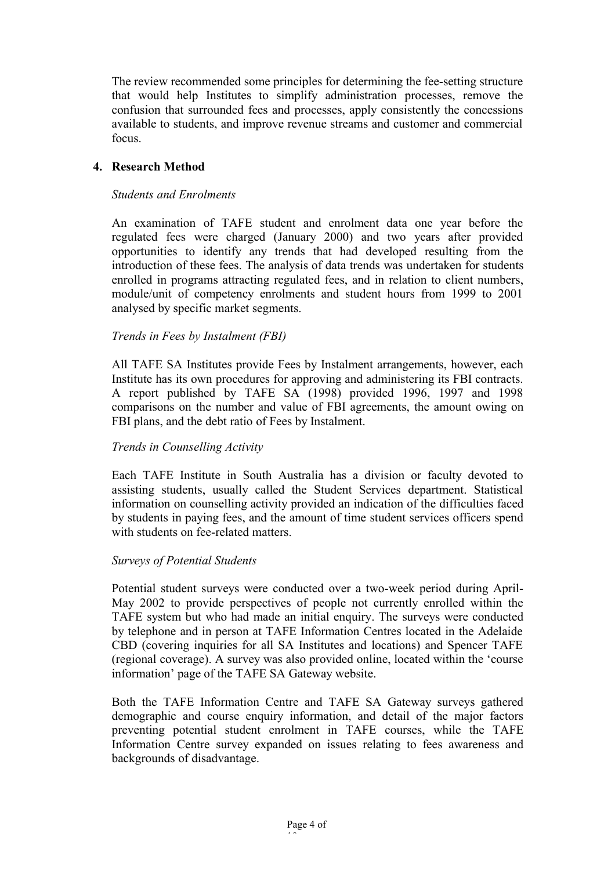The review recommended some principles for determining the fee-setting structure that would help Institutes to simplify administration processes, remove the confusion that surrounded fees and processes, apply consistently the concessions available to students, and improve revenue streams and customer and commercial focus.

## **4. Research Method**

#### *Students and Enrolments*

An examination of TAFE student and enrolment data one year before the regulated fees were charged (January 2000) and two years after provided opportunities to identify any trends that had developed resulting from the introduction of these fees. The analysis of data trends was undertaken for students enrolled in programs attracting regulated fees, and in relation to client numbers, module/unit of competency enrolments and student hours from 1999 to 2001 analysed by specific market segments.

## *Trends in Fees by Instalment (FBI)*

All TAFE SA Institutes provide Fees by Instalment arrangements, however, each Institute has its own procedures for approving and administering its FBI contracts. A report published by TAFE SA (1998) provided 1996, 1997 and 1998 comparisons on the number and value of FBI agreements, the amount owing on FBI plans, and the debt ratio of Fees by Instalment.

#### *Trends in Counselling Activity*

Each TAFE Institute in South Australia has a division or faculty devoted to assisting students, usually called the Student Services department. Statistical information on counselling activity provided an indication of the difficulties faced by students in paying fees, and the amount of time student services officers spend with students on fee-related matters.

#### *Surveys of Potential Students*

Potential student surveys were conducted over a two-week period during April-May 2002 to provide perspectives of people not currently enrolled within the TAFE system but who had made an initial enquiry. The surveys were conducted by telephone and in person at TAFE Information Centres located in the Adelaide CBD (covering inquiries for all SA Institutes and locations) and Spencer TAFE (regional coverage). A survey was also provided online, located within the 'course information' page of the TAFE SA Gateway website.

Both the TAFE Information Centre and TAFE SA Gateway surveys gathered demographic and course enquiry information, and detail of the major factors preventing potential student enrolment in TAFE courses, while the TAFE Information Centre survey expanded on issues relating to fees awareness and backgrounds of disadvantage.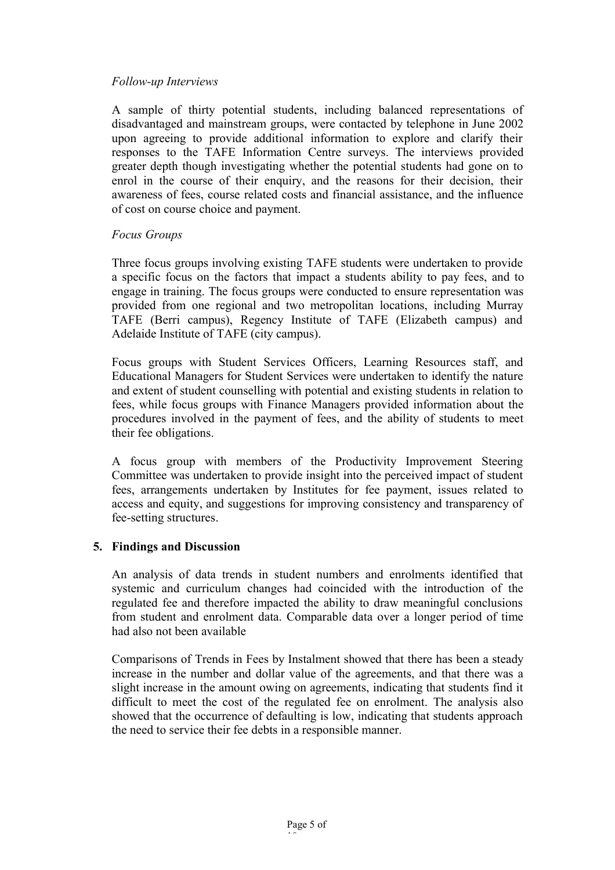#### *Follow-up Interviews*

A sample of thirty potential students, including balanced representations of disadvantaged and mainstream groups, were contacted by telephone in June 2002 upon agreeing to provide additional information to explore and clarify their responses to the TAFE Information Centre surveys. The interviews provided greater depth though investigating whether the potential students had gone on to enrol in the course of their enquiry, and the reasons for their decision, their awareness of fees, course related costs and financial assistance, and the influence of cost on course choice and payment.

## *Focus Groups*

Three focus groups involving existing TAFE students were undertaken to provide a specific focus on the factors that impact a students ability to pay fees, and to engage in training. The focus groups were conducted to ensure representation was provided from one regional and two metropolitan locations, including Murray TAFE (Berri campus), Regency Institute of TAFE (Elizabeth campus) and Adelaide Institute of TAFE (city campus).

Focus groups with Student Services Officers, Learning Resources staff, and Educational Managers for Student Services were undertaken to identify the nature and extent of student counselling with potential and existing students in relation to fees, while focus groups with Finance Managers provided information about the procedures involved in the payment of fees, and the ability of students to meet their fee obligations.

A focus group with members of the Productivity Improvement Steering Committee was undertaken to provide insight into the perceived impact of student fees, arrangements undertaken by Institutes for fee payment, issues related to access and equity, and suggestions for improving consistency and transparency of fee-setting structures.

#### **5. Findings and Discussion**

An analysis of data trends in student numbers and enrolments identified that systemic and curriculum changes had coincided with the introduction of the regulated fee and therefore impacted the ability to draw meaningful conclusions from student and enrolment data. Comparable data over a longer period of time had also not been available

Comparisons of Trends in Fees by Instalment showed that there has been a steady increase in the number and dollar value of the agreements, and that there was a slight increase in the amount owing on agreements, indicating that students find it difficult to meet the cost of the regulated fee on enrolment. The analysis also showed that the occurrence of defaulting is low, indicating that students approach the need to service their fee debts in a responsible manner.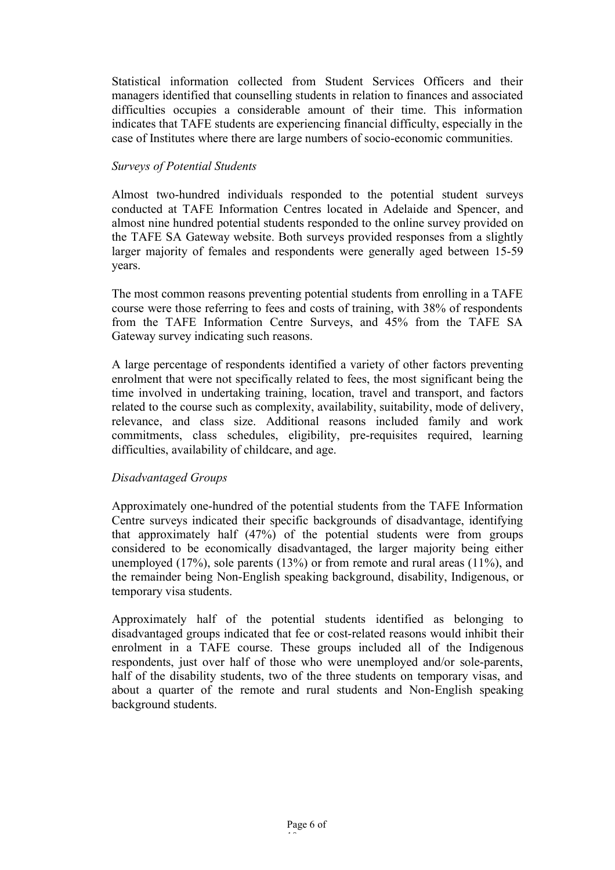Statistical information collected from Student Services Officers and their managers identified that counselling students in relation to finances and associated difficulties occupies a considerable amount of their time. This information indicates that TAFE students are experiencing financial difficulty, especially in the case of Institutes where there are large numbers of socio-economic communities.

## *Surveys of Potential Students*

Almost two-hundred individuals responded to the potential student surveys conducted at TAFE Information Centres located in Adelaide and Spencer, and almost nine hundred potential students responded to the online survey provided on the TAFE SA Gateway website. Both surveys provided responses from a slightly larger majority of females and respondents were generally aged between 15-59 years.

The most common reasons preventing potential students from enrolling in a TAFE course were those referring to fees and costs of training, with 38% of respondents from the TAFE Information Centre Surveys, and 45% from the TAFE SA Gateway survey indicating such reasons.

A large percentage of respondents identified a variety of other factors preventing enrolment that were not specifically related to fees, the most significant being the time involved in undertaking training, location, travel and transport, and factors related to the course such as complexity, availability, suitability, mode of delivery, relevance, and class size. Additional reasons included family and work commitments, class schedules, eligibility, pre-requisites required, learning difficulties, availability of childcare, and age.

#### *Disadvantaged Groups*

Approximately one-hundred of the potential students from the TAFE Information Centre surveys indicated their specific backgrounds of disadvantage, identifying that approximately half (47%) of the potential students were from groups considered to be economically disadvantaged, the larger majority being either unemployed (17%), sole parents (13%) or from remote and rural areas (11%), and the remainder being Non-English speaking background, disability, Indigenous, or temporary visa students.

Approximately half of the potential students identified as belonging to disadvantaged groups indicated that fee or cost-related reasons would inhibit their enrolment in a TAFE course. These groups included all of the Indigenous respondents, just over half of those who were unemployed and/or sole-parents, half of the disability students, two of the three students on temporary visas, and about a quarter of the remote and rural students and Non-English speaking background students.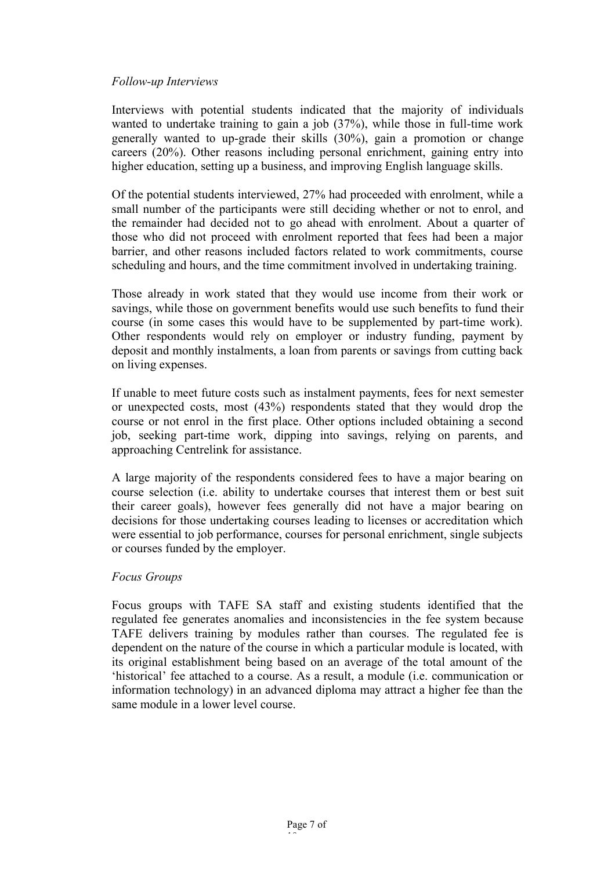#### *Follow-up Interviews*

Interviews with potential students indicated that the majority of individuals wanted to undertake training to gain a job (37%), while those in full-time work generally wanted to up-grade their skills (30%), gain a promotion or change careers (20%). Other reasons including personal enrichment, gaining entry into higher education, setting up a business, and improving English language skills.

Of the potential students interviewed, 27% had proceeded with enrolment, while a small number of the participants were still deciding whether or not to enrol, and the remainder had decided not to go ahead with enrolment. About a quarter of those who did not proceed with enrolment reported that fees had been a major barrier, and other reasons included factors related to work commitments, course scheduling and hours, and the time commitment involved in undertaking training.

Those already in work stated that they would use income from their work or savings, while those on government benefits would use such benefits to fund their course (in some cases this would have to be supplemented by part-time work). Other respondents would rely on employer or industry funding, payment by deposit and monthly instalments, a loan from parents or savings from cutting back on living expenses.

If unable to meet future costs such as instalment payments, fees for next semester or unexpected costs, most (43%) respondents stated that they would drop the course or not enrol in the first place. Other options included obtaining a second job, seeking part-time work, dipping into savings, relying on parents, and approaching Centrelink for assistance.

A large majority of the respondents considered fees to have a major bearing on course selection (i.e. ability to undertake courses that interest them or best suit their career goals), however fees generally did not have a major bearing on decisions for those undertaking courses leading to licenses or accreditation which were essential to job performance, courses for personal enrichment, single subjects or courses funded by the employer.

#### *Focus Groups*

Focus groups with TAFE SA staff and existing students identified that the regulated fee generates anomalies and inconsistencies in the fee system because TAFE delivers training by modules rather than courses. The regulated fee is dependent on the nature of the course in which a particular module is located, with its original establishment being based on an average of the total amount of the 'historical' fee attached to a course. As a result, a module (i.e. communication or information technology) in an advanced diploma may attract a higher fee than the same module in a lower level course.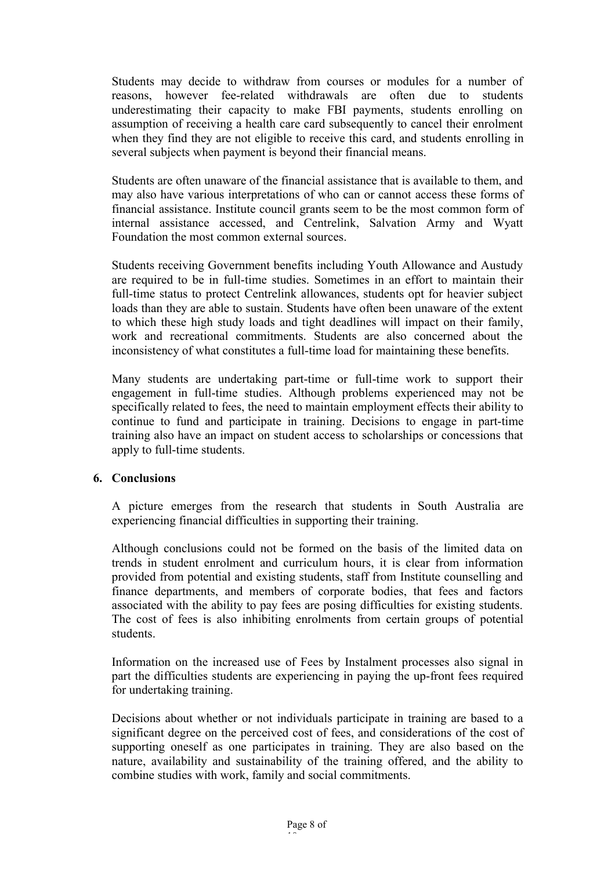Students may decide to withdraw from courses or modules for a number of reasons, however fee-related withdrawals are often due to students underestimating their capacity to make FBI payments, students enrolling on assumption of receiving a health care card subsequently to cancel their enrolment when they find they are not eligible to receive this card, and students enrolling in several subjects when payment is beyond their financial means.

Students are often unaware of the financial assistance that is available to them, and may also have various interpretations of who can or cannot access these forms of financial assistance. Institute council grants seem to be the most common form of internal assistance accessed, and Centrelink, Salvation Army and Wyatt Foundation the most common external sources.

Students receiving Government benefits including Youth Allowance and Austudy are required to be in full-time studies. Sometimes in an effort to maintain their full-time status to protect Centrelink allowances, students opt for heavier subject loads than they are able to sustain. Students have often been unaware of the extent to which these high study loads and tight deadlines will impact on their family, work and recreational commitments. Students are also concerned about the inconsistency of what constitutes a full-time load for maintaining these benefits.

Many students are undertaking part-time or full-time work to support their engagement in full-time studies. Although problems experienced may not be specifically related to fees, the need to maintain employment effects their ability to continue to fund and participate in training. Decisions to engage in part-time training also have an impact on student access to scholarships or concessions that apply to full-time students.

#### **6. Conclusions**

A picture emerges from the research that students in South Australia are experiencing financial difficulties in supporting their training.

Although conclusions could not be formed on the basis of the limited data on trends in student enrolment and curriculum hours, it is clear from information provided from potential and existing students, staff from Institute counselling and finance departments, and members of corporate bodies, that fees and factors associated with the ability to pay fees are posing difficulties for existing students. The cost of fees is also inhibiting enrolments from certain groups of potential students.

Information on the increased use of Fees by Instalment processes also signal in part the difficulties students are experiencing in paying the up-front fees required for undertaking training.

Decisions about whether or not individuals participate in training are based to a significant degree on the perceived cost of fees, and considerations of the cost of supporting oneself as one participates in training. They are also based on the nature, availability and sustainability of the training offered, and the ability to combine studies with work, family and social commitments.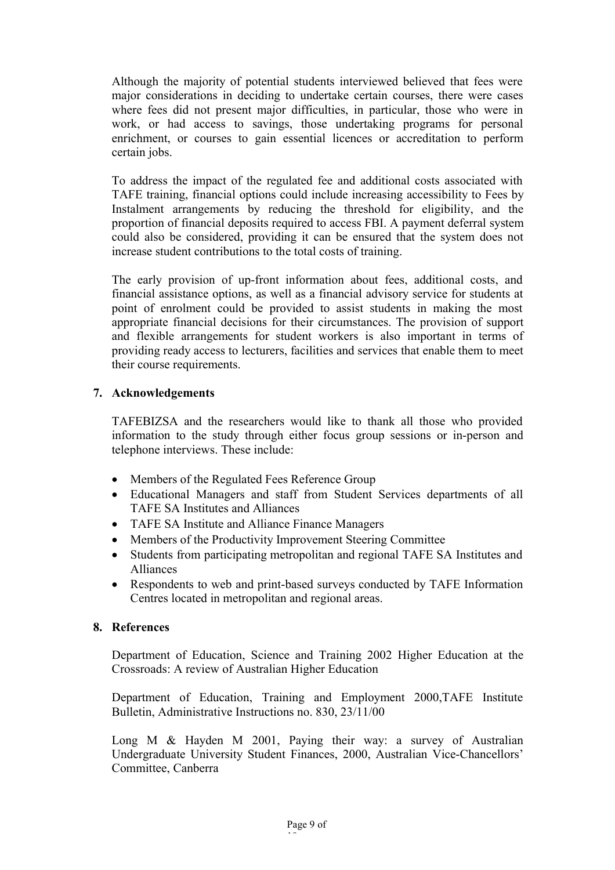Although the majority of potential students interviewed believed that fees were major considerations in deciding to undertake certain courses, there were cases where fees did not present major difficulties, in particular, those who were in work, or had access to savings, those undertaking programs for personal enrichment, or courses to gain essential licences or accreditation to perform certain jobs.

To address the impact of the regulated fee and additional costs associated with TAFE training, financial options could include increasing accessibility to Fees by Instalment arrangements by reducing the threshold for eligibility, and the proportion of financial deposits required to access FBI. A payment deferral system could also be considered, providing it can be ensured that the system does not increase student contributions to the total costs of training.

The early provision of up-front information about fees, additional costs, and financial assistance options, as well as a financial advisory service for students at point of enrolment could be provided to assist students in making the most appropriate financial decisions for their circumstances. The provision of support and flexible arrangements for student workers is also important in terms of providing ready access to lecturers, facilities and services that enable them to meet their course requirements.

# **7. Acknowledgements**

TAFEBIZSA and the researchers would like to thank all those who provided information to the study through either focus group sessions or in-person and telephone interviews. These include:

- Members of the Regulated Fees Reference Group
- Educational Managers and staff from Student Services departments of all TAFE SA Institutes and Alliances
- TAFE SA Institute and Alliance Finance Managers
- Members of the Productivity Improvement Steering Committee
- Students from participating metropolitan and regional TAFE SA Institutes and Alliances
- Respondents to web and print-based surveys conducted by TAFE Information Centres located in metropolitan and regional areas.

#### **8. References**

Department of Education, Science and Training 2002 Higher Education at the Crossroads: A review of Australian Higher Education

Department of Education, Training and Employment 2000,TAFE Institute Bulletin, Administrative Instructions no. 830, 23/11/00

Long M & Hayden M 2001, Paying their way: a survey of Australian Undergraduate University Student Finances, 2000, Australian Vice-Chancellors' Committee, Canberra